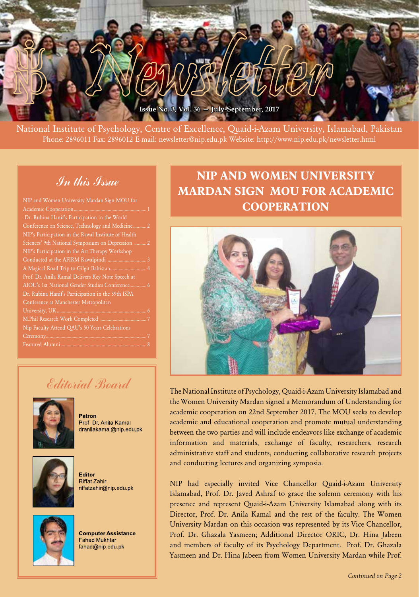

National Institute of Psychology, Centre of Excellence, Quaid-i-Azam University, Islamabad, Pakistan Phone: 2896011 Fax: 2896012 E-mail: newsletter@nip.edu.pk Website: http://www.nip.edu.pk/newsletter.html

# In this Issue

| NIP and Women University Mardan Sign MOU for         |                |
|------------------------------------------------------|----------------|
| Academic Cooperation                                 |                |
| Dr. Rubina Hanif's Participation in the World        |                |
| Conference on Science, Technology and Medicine       | $\mathcal{P}$  |
| NIP's Participation in the Rawal Institute of Health |                |
| Sciences' 9th National Symposium on Depression       | $\overline{2}$ |
| NIP's Participation in the Art Therapy Workshop      |                |
|                                                      | 3              |
|                                                      | $\overline{4}$ |
| Prof. Dr. Anila Kamal Delivers Key Note Speech at    |                |
| AIOU's 1st National Gender Studies Conference 6      |                |
| Dr. Rubina Hanif's Participation in the 39th ISPA    |                |
| Conference at Manchester Metropolitan                |                |
| University, UK                                       | 6              |
|                                                      |                |
| Nip Faculty Attend QAU's 50 Years Celebrations       |                |
|                                                      | 7              |
|                                                      | 8              |
|                                                      |                |

# **NIP AND WOMEN UNIVERSITY MARDAN SIGN MOU FOR ACADEMIC COOPERATION**



The National Institute of Psychology, Quaid-i-Azam University Islamabad and the Women University Mardan signed a Memorandum of Understanding for academic cooperation on 22nd September 2017. The MOU seeks to develop academic and educational cooperation and promote mutual understanding between the two parties and will include endeavors like exchange of academic information and materials, exchange of faculty, researchers, research administrative staff and students, conducting collaborative research projects and conducting lectures and organizing symposia.

NIP had especially invited Vice Chancellor Quaid-i-Azam University Islamabad, Prof. Dr. Javed Ashraf to grace the solemn ceremony with his presence and represent Quaid-i-Azam University Islamabad along with its Director, Prof. Dr. Anila Kamal and the rest of the faculty. The Women University Mardan on this occasion was represented by its Vice Chancellor, Prof. Dr. Ghazala Yasmeen; Additional Director ORIC, Dr. Hina Jabeen and members of faculty of its Psychology Department. Prof. Dr. Ghazala Yasmeen and Dr. Hina Jabeen from Women University Mardan while Prof.

# Editorial Board



Patron Prof. Dr. Anila Kamal dranilakamal@nip.edu.pk



**Editor Riffat Zahir** riffatzahir@nip.edu.pk



**Computer Assistance Fahad Mukhtar** fahad@nip.edu.pk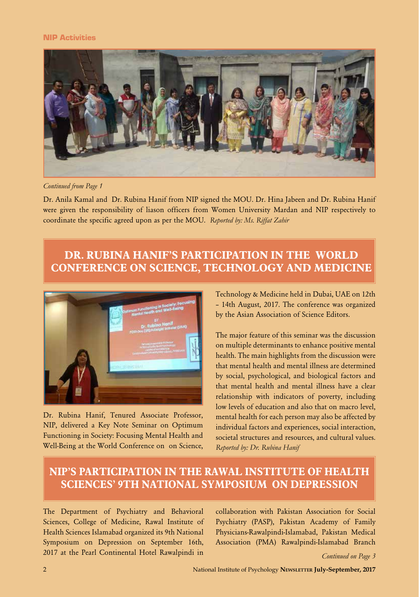#### NIP Activities



*Continued from Page 1*

Dr. Anila Kamal and Dr. Rubina Hanif from NIP signed the MOU. Dr. Hina Jabeen and Dr. Rubina Hanif were given the responsibility of liason officers from Women University Mardan and NIP respectively to coordinate the specific agreed upon as per the MOU. *Reported by: Ms. Riffat Zahir*

### **DR. RUBINA HANIF'S PARTICIPATION IN THE WORLD CONFERENCE ON SCIENCE, TECHNOLOGY AND MEDICINE**



Dr. Rubina Hanif, Tenured Associate Professor, NIP, delivered a Key Note Seminar on Optimum Functioning in Society: Focusing Mental Health and Well-Being at the World Conference on on Science,

Technology & Medicine held in Dubai, UAE on 12th – 14th August, 2017. The conference was organized by the Asian Association of Science Editors.

The major feature of this seminar was the discussion on multiple determinants to enhance positive mental health. The main highlights from the discussion were that mental health and mental illness are determined by social, psychological, and biological factors and that mental health and mental illness have a clear relationship with indicators of poverty, including low levels of education and also that on macro level, mental health for each person may also be affected by individual factors and experiences, social interaction, societal structures and resources, and cultural values. *Reported by: Dr. Rubina Hanif*

# **NIP'S PARTICIPATION IN THE RAWAL INSTITUTE OF HEALTH SCIENCES' 9TH NATIONAL SYMPOSIUM ON DEPRESSION**

The Department of Psychiatry and Behavioral Sciences, College of Medicine, Rawal Institute of Health Sciences Islamabad organized its 9th National Symposium on Depression on September 16th, 2017 at the Pearl Continental Hotel Rawalpindi in

collaboration with Pakistan Association for Social Psychiatry (PASP), Pakistan Academy of Family Physicians-Rawalpindi-Islamabad, Pakistan Medical Association (PMA) Rawalpindi-Islamabad Branch

*Continued on Page 3*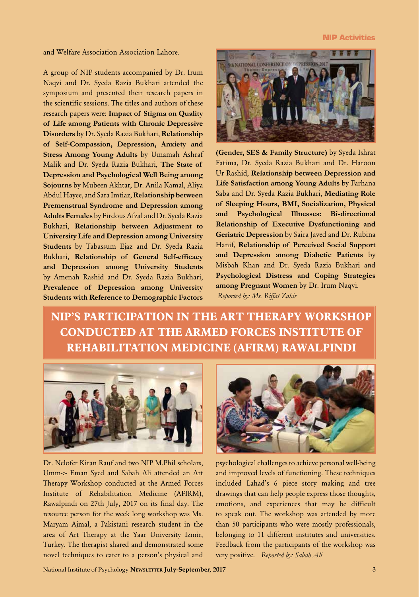#### NIP Activities

and Welfare Association Association Lahore.

A group of NIP students accompanied by Dr. Irum Naqvi and Dr. Syeda Razia Bukhari attended the symposium and presented their research papers in the scientific sessions. The titles and authors of these research papers were: **Impact of Stigma on Quality of Life among Patients with Chronic Depressive Disorders** by Dr. Syeda Razia Bukhari, **Relationship of Self-Compassion, Depression, Anxiety and Stress Among Young Adults** by Umamah Ashraf Malik and Dr. Syeda Razia Bukhari, **The State of Depression and Psychological Well Being among Sojourns** by Mubeen Akhtar, Dr. Anila Kamal, Aliya Abdul Hayee, and Sara Imtiaz, **Relationship between Premenstrual Syndrome and Depression among Adults Females** by Firdous Afzal and Dr. Syeda Razia Bukhari, **Relationship between Adjustment to University Life and Depression among University Students** by Tabassum Ejaz and Dr. Syeda Razia Bukhari, **Relationship of General Self-efficacy and Depression among University Students**  by Amenah Rashid and Dr. Syeda Razia Bukhari, **Prevalence of Depression among University Students with Reference to Demographic Factors** 



**(Gender, SES & Family Structure)** by Syeda Ishrat Fatima, Dr. Syeda Razia Bukhari and Dr. Haroon Ur Rashid, **Relationship between Depression and Life Satisfaction among Young Adults** by Farhana Saba and Dr. Syeda Razia Bukhari, **Mediating Role of Sleeping Hours, BMI, Socialization, Physical and Psychological Illnesses: Bi-directional Relationship of Executive Dysfunctioning and Geriatric Depression** by Saira Javed and Dr. Rubina Hanif, **Relationship of Perceived Social Support and Depression among Diabetic Patients** by Misbah Khan and Dr. Syeda Razia Bukhari and **Psychological Distress and Coping Strategies among Pregnant Women** by Dr. Irum Naqvi. *Reported by: Ms. Riffat Zahir*

**NIP'S PARTICIPATION IN THE ART THERAPY WORKSHOP CONDUCTED AT THE ARMED FORCES INSTITUTE OF REHABILITATION MEDICINE (AFIRM) RAWALPINDI**



Dr. Nelofer Kiran Rauf and two NIP M.Phil scholars, Umm-e- Eman Syed and Sabah Ali attended an Art Therapy Workshop conducted at the Armed Forces Institute of Rehabilitation Medicine (AFIRM), Rawalpindi on 27th July, 2017 on its final day. The resource person for the week long workshop was Ms. Maryam Ajmal, a Pakistani research student in the area of Art Therapy at the Yaar University Izmir, Turkey. The therapist shared and demonstrated some novel techniques to cater to a person's physical and



psychological challenges to achieve personal well-being and improved levels of functioning. These techniques included Lahad's 6 piece story making and tree drawings that can help people express those thoughts, emotions, and experiences that may be difficult to speak out. The workshop was attended by more than 50 participants who were mostly professionals, belonging to 11 different institutes and universities. Feedback from the participants of the workshop was very positive. *Reported by: Sabah Ali*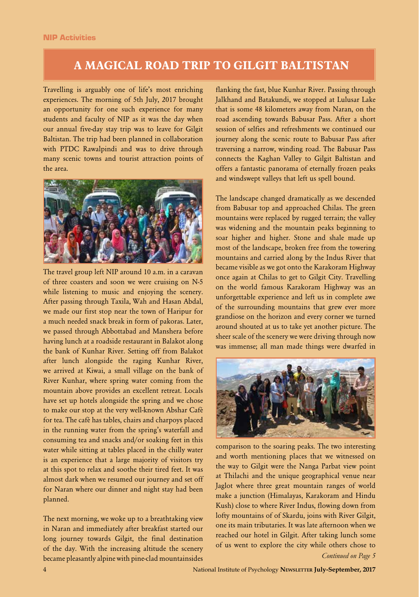### **A MAGICAL ROAD TRIP TO GILGIT BALTISTAN**

Travelling is arguably one of life's most enriching experiences. The morning of 5th July, 2017 brought an opportunity for one such experience for many students and faculty of NIP as it was the day when our annual five-day stay trip was to leave for Gilgit Baltistan. The trip had been planned in collaboration with PTDC Rawalpindi and was to drive through many scenic towns and tourist attraction points of the area.



The travel group left NIP around 10 a.m. in a caravan of three coasters and soon we were cruising on N-5 while listening to music and enjoying the scenery. After passing through Taxila, Wah and Hasan Abdal, we made our first stop near the town of Haripur for a much needed snack break in form of pakoras. Later, we passed through Abbottabad and Manshera before having lunch at a roadside restaurant in Balakot along the bank of Kunhar River. Setting off from Balakot after lunch alongside the raging Kunhar River, we arrived at Kiwai, a small village on the bank of River Kunhar, where spring water coming from the mountain above provides an excellent retreat. Locals have set up hotels alongside the spring and we chose to make our stop at the very well-known Abshar Café for tea. The café has tables, chairs and charpoys placed in the running water from the spring's waterfall and consuming tea and snacks and/or soaking feet in this water while sitting at tables placed in the chilly water is an experience that a large majority of visitors try at this spot to relax and soothe their tired feet. It was almost dark when we resumed our journey and set off for Naran where our dinner and night stay had been planned.

The next morning, we woke up to a breathtaking view in Naran and immediately after breakfast started our long journey towards Gilgit, the final destination of the day. With the increasing altitude the scenery became pleasantly alpine with pine-clad mountainsides

flanking the fast, blue Kunhar River. Passing through Jalkhand and Batakundi, we stopped at Lulusar Lake that is some 48 kilometers away from Naran, on the road ascending towards Babusar Pass. After a short session of selfies and refreshments we continued our journey along the scenic route to Babusar Pass after traversing a narrow, winding road. The Babusar Pass connects the Kaghan Valley to Gilgit Baltistan and offers a fantastic panorama of eternally frozen peaks and windswept valleys that left us spell bound.

The landscape changed dramatically as we descended from Babusar top and approached Chilas. The green mountains were replaced by rugged terrain; the valley was widening and the mountain peaks beginning to soar higher and higher. Stone and shale made up most of the landscape, broken free from the towering mountains and carried along by the Indus River that became visible as we got onto the Karakoram Highway once again at Chilas to get to Gilgit City. Travelling on the world famous Karakoram Highway was an unforgettable experience and left us in complete awe of the surrounding mountains that grew ever more grandiose on the horizon and every corner we turned around shouted at us to take yet another picture. The sheer scale of the scenery we were driving through now was immense; all man made things were dwarfed in



comparison to the soaring peaks. The two interesting and worth mentioning places that we witnessed on the way to Gilgit were the Nanga Parbat view point at Thilachi and the unique geographical venue near Jaglot where three great mountain ranges of world make a junction (Himalayas, Karakoram and Hindu Kush) close to where River Indus, flowing down from lofty mountains of of Skardu, joins with River Gilgit, one its main tributaries. It was late afternoon when we reached our hotel in Gilgit. After taking lunch some of us went to explore the city while others chose to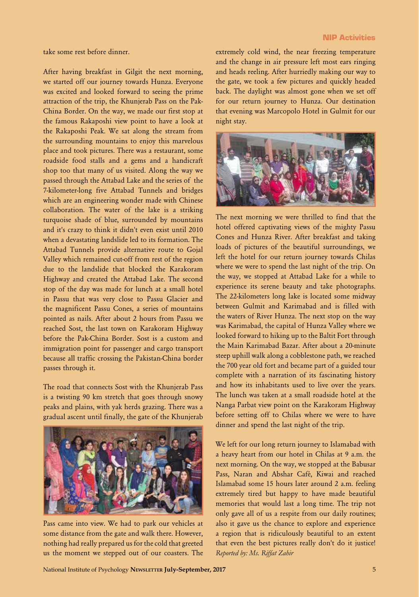#### NIP Activities

take some rest before dinner.

After having breakfast in Gilgit the next morning, we started off our journey towards Hunza. Everyone was excited and looked forward to seeing the prime attraction of the trip, the Khunjerab Pass on the Pak-China Border. On the way, we made our first stop at the famous Rakaposhi view point to have a look at the Rakaposhi Peak. We sat along the stream from the surrounding mountains to enjoy this marvelous place and took pictures. There was a restaurant, some roadside food stalls and a gems and a handicraft shop too that many of us visited. Along the way we passed through the Attabad Lake and the series of the 7-kilometer-long five Attabad Tunnels and bridges which are an engineering wonder made with Chinese collaboration. The water of the lake is a striking turquoise shade of blue, surrounded by mountains and it's crazy to think it didn't even exist until 2010 when a devastating landslide led to its formation. The Attabad Tunnels provide alternative route to Gojal Valley which remained cut-off from rest of the region due to the landslide that blocked the Karakoram Highway and created the Attabad Lake. The second stop of the day was made for lunch at a small hotel in Passu that was very close to Passu Glacier and the magnificent Passu Cones, a series of mountains pointed as nails. After about 2 hours from Passu we reached Sost, the last town on Karakoram Highway before the Pak-China Border. Sost is a custom and immigration point for passenger and cargo transport because all traffic crossing the Pakistan-China border passes through it.

The road that connects Sost with the Khunjerab Pass is a twisting 90 km stretch that goes through snowy peaks and plains, with yak herds grazing. There was a gradual ascent until finally, the gate of the Khunjerab



Pass came into view. We had to park our vehicles at some distance from the gate and walk there. However, nothing had really prepared us for the cold that greeted us the moment we stepped out of our coasters. The

extremely cold wind, the near freezing temperature and the change in air pressure left most ears ringing and heads reeling. After hurriedly making our way to the gate, we took a few pictures and quickly headed back. The daylight was almost gone when we set off for our return journey to Hunza. Our destination that evening was Marcopolo Hotel in Gulmit for our night stay.



The next morning we were thrilled to find that the hotel offered captivating views of the mighty Passu Cones and Hunza River. After breakfast and taking loads of pictures of the beautiful surroundings, we left the hotel for our return journey towards Chilas where we were to spend the last night of the trip. On the way, we stopped at Attabad Lake for a while to experience its serene beauty and take photographs. The 22-kilometers long lake is located some midway between Gulmit and Karimabad and is filled with the waters of River Hunza. The next stop on the way was Karimabad, the capital of Hunza Valley where we looked forward to hiking up to the Baltit Fort through the Main Karimabad Bazar. After about a 20-minute steep uphill walk along a cobblestone path, we reached the 700 year old fort and became part of a guided tour complete with a narration of its fascinating history and how its inhabitants used to live over the years. The lunch was taken at a small roadside hotel at the Nanga Parbat view point on the Karakoram Highway before setting off to Chilas where we were to have dinner and spend the last night of the trip.

We left for our long return journey to Islamabad with a heavy heart from our hotel in Chilas at 9 a.m. the next morning. On the way, we stopped at the Babusar Pass, Naran and Abshar Café, Kiwai and reached Islamabad some 15 hours later around 2 a.m. feeling extremely tired but happy to have made beautiful memories that would last a long time. The trip not only gave all of us a respite from our daily routines; also it gave us the chance to explore and experience a region that is ridiculously beautiful to an extent that even the best pictures really don't do it justice! *Reported by: Ms. Riffat Zahir*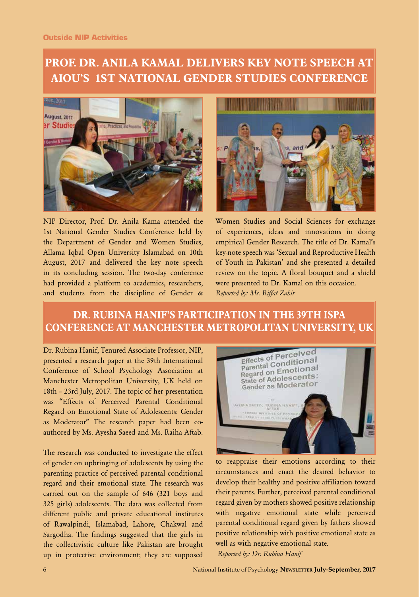# **PROF. DR. ANILA KAMAL DELIVERS KEY NOTE SPEECH AT AIOU'S 1ST NATIONAL GENDER STUDIES CONFERENCE**



NIP Director, Prof. Dr. Anila Kama attended the 1st National Gender Studies Conference held by the Department of Gender and Women Studies, Allama Iqbal Open University Islamabad on 10th August, 2017 and delivered the key note speech in its concluding session. The two-day conference had provided a platform to academics, researchers, and students from the discipline of Gender &



Women Studies and Social Sciences for exchange of experiences, ideas and innovations in doing empirical Gender Research. The title of Dr. Kamal's key-note speech was 'Sexual and Reproductive Health of Youth in Pakistan' and she presented a detailed review on the topic. A floral bouquet and a shield were presented to Dr. Kamal on this occasion. *Reported by: Ms. Riffat Zahir*

# **DR. RUBINA HANIF'S PARTICIPATION IN THE 39TH ISPA CONFERENCE AT MANCHESTER METROPOLITAN UNIVERSITY, UK**

Dr. Rubina Hanif, Tenured Associate Professor, NIP, presented a research paper at the 39th International Conference of School Psychology Association at Manchester Metropolitan University, UK held on 18th – 23rd July, 2017. The topic of her presentation was "Effects of Perceived Parental Conditional Regard on Emotional State of Adolescents: Gender as Moderator" The research paper had been coauthored by Ms. Ayesha Saeed and Ms. Raiha Aftab.

The research was conducted to investigate the effect of gender on upbringing of adolescents by using the parenting practice of perceived parental conditional regard and their emotional state. The research was carried out on the sample of 646 (321 boys and 325 girls) adolescents. The data was collected from different public and private educational institutes of Rawalpindi, Islamabad, Lahore, Chakwal and Sargodha. The findings suggested that the girls in the collectivistic culture like Pakistan are brought up in protective environment; they are supposed



to reappraise their emotions according to their circumstances and enact the desired behavior to develop their healthy and positive affiliation toward their parents. Further, perceived parental conditional regard given by mothers showed positive relationship with negative emotional state while perceived parental conditional regard given by fathers showed positive relationship with positive emotional state as well as with negative emotional state.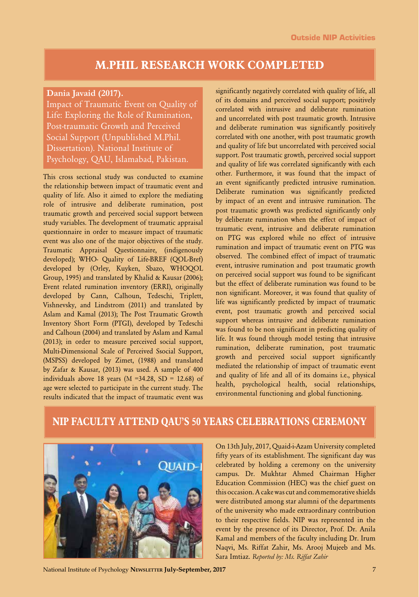### **M.PHIL RESEARCH WORK COMPLETED**

#### **Dania Javaid (2017).**

Impact of Traumatic Event on Quality of Life: Exploring the Role of Rumination, Post-traumatic Growth and Perceived Social Support (Unpublished M.Phil. Dissertation). National Institute of Psychology, QAU, Islamabad, Pakistan.

This cross sectional study was conducted to examine the relationship between impact of traumatic event and quality of life. Also it aimed to explore the mediating role of intrusive and deliberate rumination, post traumatic growth and perceived social support between study variables. The development of traumatic appraisal questionnaire in order to measure impact of traumatic event was also one of the major objectives of the study. Traumatic Appraisal Questionnaire, (indigenously developed); WHO- Quality of Life-BREF (QOL-Bref) developed by (Orley, Kuyken, Sbazo, WHOQOL Group, 1995) and translated by Khalid & Kausar (2006); Event related rumination inventory (ERRI), originally developed by Cann, Calhoun, Tedeschi, Triplett, Vishnevsky, and Lindstrom (2011) and translated by Aslam and Kamal (2013); The Post Traumatic Growth Inventory Short Form (PTGI), developed by Tedeschi and Calhoun (2004) and translated by Aslam and Kamal (2013); in order to measure perceived social support, Multi-Dimensional Scale of Perceived Ssocial Support, (MSPSS) developed by Zimet, (1988) and translated by Zafar & Kausar, (2013) was used. A sample of 400 individuals above 18 years ( $M = 34.28$ ,  $SD = 12.68$ ) of age were selected to participate in the current study. The results indicated that the impact of traumatic event was

significantly negatively correlated with quality of life, all of its domains and perceived social support; positively correlated with intrusive and deliberate rumination and uncorrelated with post traumatic growth. Intrusive and deliberate rumination was significantly positively correlated with one another, with post traumatic growth and quality of life but uncorrelated with perceived social support. Post traumatic growth, perceived social support and quality of life was correlated significantly with each other. Furthermore, it was found that the impact of an event significantly predicted intrusive rumination. Deliberate rumination was significantly predicted by impact of an event and intrusive rumination. The post traumatic growth was predicted significantly only by deliberate rumination when the effect of impact of traumatic event, intrusive and deliberate rumination on PTG was explored while no effect of intrusive rumination and impact of traumatic event on PTG was observed. The combined effect of impact of traumatic event, intrusive rumination and post traumatic growth on perceived social support was found to be significant but the effect of deliberate rumination was found to be non significant. Moreover, it was found that quality of life was significantly predicted by impact of traumatic event, post traumatic growth and perceived social support whereas intrusive and deliberate rumination was found to be non significant in predicting quality of life. It was found through model testing that intrusive rumination, deliberate rumination, post traumatic growth and perceived social support significantly mediated the relationship of impact of traumatic event and quality of life and all of its domains i.e., physical health, psychological health, social relationships, environmental functioning and global functioning.

### **NIP FACULTY ATTEND QAU'S 50 YEARS CELEBRATIONS CEREMONY**



On 13th July, 2017, Quaid-i-Azam University completed fifty years of its establishment. The significant day was celebrated by holding a ceremony on the university campus. Dr. Mukhtar Ahmed Chairman Higher Education Commission (HEC) was the chief guest on this occasion. A cake was cut and commemorative shields were distributed among star alumni of the departments of the university who made extraordinary contribution to their respective fields. NIP was represented in the event by the presence of its Director, Prof. Dr. Anila Kamal and members of the faculty including Dr. Irum Naqvi, Ms. Riffat Zahir, Ms. Arooj Mujeeb and Ms. Sara Imtiaz. *Reported by: Ms. Riffat Zahir*

National Institute of Psychology **Newsletter July-September, 2017** 7